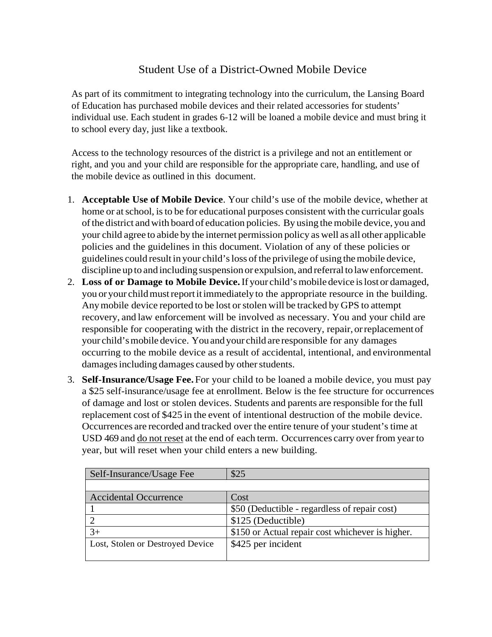## Student Use of a District-Owned Mobile Device

As part of its commitment to integrating technology into the curriculum, the Lansing Board of Education has purchased mobile devices and their related accessories for students' individual use. Each student in grades 6-12 will be loaned a mobile device and must bring it to school every day, just like a textbook.

Access to the technology resources of the district is a privilege and not an entitlement or right, and you and your child are responsible for the appropriate care, handling, and use of the mobile device as outlined in this document.

- 1. **Acceptable Use of Mobile Device**. Your child's use of the mobile device, whether at home or atschool, isto be for educational purposes consistent with the curricular goals ofthe district andwith board of education policies. By using the mobile device, you and your child agree to abide by the internet permission policy as well as all other applicable policies and the guidelines in this document. Violation of any of these policies or guidelines could result in your child'sloss ofthe privilege of using themobile device, discipline up to and including suspension or expulsion, and referral to law enforcement.
- 2. **Loss of or Damage to Mobile Device.**If your child'smobile device islost or damaged, you or your child must report it immediately to the appropriate resource in the building. Any mobile device reported to be lost or stolen will be tracked by GPS to attempt recovery, and law enforcement will be involved as necessary. You and your child are responsible for cooperating with the district in the recovery, repair, orreplacement of your child'smobile device. Youand your child are responsible for any damages occurring to the mobile device as a result of accidental, intentional, and environmental damages including damages caused by other students.
- 3. **Self-Insurance/Usage Fee.** For your child to be loaned a mobile device, you must pay a \$25 self-insurance/usage fee at enrollment. Below is the fee structure for occurrences of damage and lost or stolen devices. Students and parents are responsible for the full replacement cost of \$425 in the event of intentional destruction of the mobile device. Occurrences are recorded and tracked over the entire tenure of your student'stime at USD 469 and do not reset at the end of each term. Occurrences carry over from yearto year, but will reset when your child enters a new building.

| Self-Insurance/Usage Fee         | \$25                                             |
|----------------------------------|--------------------------------------------------|
|                                  |                                                  |
| <b>Accidental Occurrence</b>     | Cost                                             |
|                                  | \$50 (Deductible - regardless of repair cost)    |
|                                  | \$125 (Deductible)                               |
|                                  | \$150 or Actual repair cost whichever is higher. |
| Lost, Stolen or Destroyed Device | \$425 per incident                               |
|                                  |                                                  |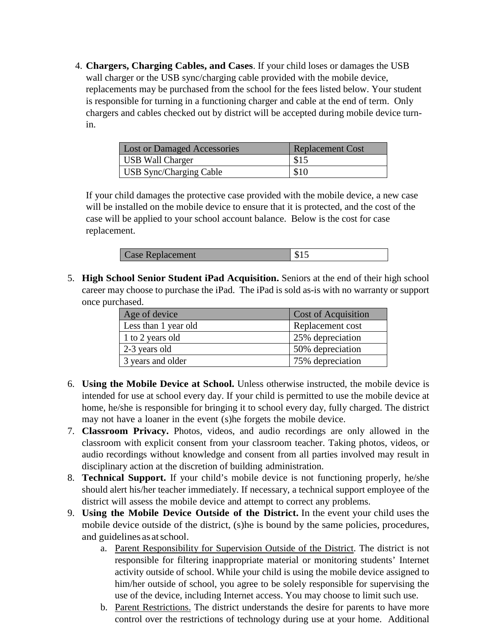4. **Chargers, Charging Cables, and Cases**. If your child loses or damages the USB wall charger or the USB sync/charging cable provided with the mobile device, replacements may be purchased from the school for the fees listed below. Your student is responsible for turning in a functioning charger and cable at the end of term. Only chargers and cables checked out by district will be accepted during mobile device turnin.

| <b>Lost or Damaged Accessories</b> | <b>Replacement Cost</b> |
|------------------------------------|-------------------------|
| USB Wall Charger                   | \$15                    |
| USB Sync/Charging Cable            | \$10                    |

If your child damages the protective case provided with the mobile device, a new case will be installed on the mobile device to ensure that it is protected, and the cost of the case will be applied to your school account balance. Below is the cost for case replacement.

| <b>Case Replacement</b> |  |
|-------------------------|--|
|-------------------------|--|

5. **High School Senior Student iPad Acquisition.** Seniors at the end of their high school career may choose to purchase the iPad. The iPad is sold as-is with no warranty or support once purchased.

| Age of device        | <b>Cost of Acquisition</b> |
|----------------------|----------------------------|
| Less than 1 year old | Replacement cost           |
| 1 to 2 years old     | 25% depreciation           |
| 2-3 years old        | 50% depreciation           |
| 3 years and older    | 75% depreciation           |

- 6. **Using the Mobile Device at School.** Unless otherwise instructed, the mobile device is intended for use at school every day. If your child is permitted to use the mobile device at home, he/she is responsible for bringing it to school every day, fully charged. The district may not have a loaner in the event (s)he forgets the mobile device.
- 7. **Classroom Privacy.** Photos, videos, and audio recordings are only allowed in the classroom with explicit consent from your classroom teacher. Taking photos, videos, or audio recordings without knowledge and consent from all parties involved may result in disciplinary action at the discretion of building administration.
- 8. **Technical Support.** If your child's mobile device is not functioning properly, he/she should alert his/her teacher immediately. If necessary, a technical support employee of the district will assess the mobile device and attempt to correct any problems.
- 9. **Using the Mobile Device Outside of the District.** In the event your child uses the mobile device outside of the district, (s)he is bound by the same policies, procedures, and guidelines as atschool.
	- a. Parent Responsibility for Supervision Outside of the District. The district is not responsible for filtering inappropriate material or monitoring students' Internet activity outside of school. While your child is using the mobile device assigned to him/her outside of school, you agree to be solely responsible for supervising the use of the device, including Internet access. You may choose to limit such use.
	- b. Parent Restrictions. The district understands the desire for parents to have more control over the restrictions of technology during use at your home. Additional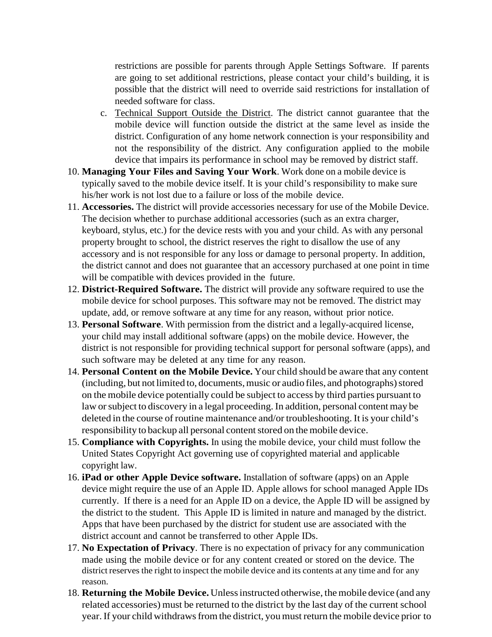restrictions are possible for parents through Apple Settings Software. If parents are going to set additional restrictions, please contact your child's building, it is possible that the district will need to override said restrictions for installation of needed software for class.

- c. Technical Support Outside the District. The district cannot guarantee that the mobile device will function outside the district at the same level as inside the district. Configuration of any home network connection is your responsibility and not the responsibility of the district. Any configuration applied to the mobile device that impairs its performance in school may be removed by district staff.
- 10. **Managing Your Files and Saving Your Work**. Work done on a mobile device is typically saved to the mobile device itself. It is your child's responsibility to make sure his/her work is not lost due to a failure or loss of the mobile device.
- 11. **Accessories.** The district will provide accessories necessary for use of the Mobile Device. The decision whether to purchase additional accessories (such as an extra charger, keyboard, stylus, etc.) for the device rests with you and your child. As with any personal property brought to school, the district reserves the right to disallow the use of any accessory and is not responsible for any loss or damage to personal property. In addition, the district cannot and does not guarantee that an accessory purchased at one point in time will be compatible with devices provided in the future.
- 12. **District-Required Software.** The district will provide any software required to use the mobile device for school purposes. This software may not be removed. The district may update, add, or remove software at any time for any reason, without prior notice.
- 13. **Personal Software**. With permission from the district and a legally-acquired license, your child may install additional software (apps) on the mobile device. However, the district is not responsible for providing technical support for personal software (apps), and such software may be deleted at any time for any reason.
- 14. **Personal Content on the Mobile Device.** Your child should be aware that any content (including, but not limited to, documents, music or audio files, and photographs) stored on the mobile device potentially could be subject to access by third parties pursuant to law or subject to discovery in a legal proceeding. In addition, personal content may be deleted in the course of routine maintenance and/or troubleshooting. It is your child's responsibility to backup all personal content stored on the mobile device.
- 15. **Compliance with Copyrights.** In using the mobile device, your child must follow the United States Copyright Act governing use of copyrighted material and applicable copyright law.
- 16. **iPad or other Apple Device software.** Installation of software (apps) on an Apple device might require the use of an Apple ID. Apple allows for school managed Apple IDs currently. If there is a need for an Apple ID on a device, the Apple ID will be assigned by the district to the student. This Apple ID is limited in nature and managed by the district. Apps that have been purchased by the district for student use are associated with the district account and cannot be transferred to other Apple IDs.
- 17. **No Expectation of Privacy**. There is no expectation of privacy for any communication made using the mobile device or for any content created or stored on the device. The district reserves the right to inspect the mobile device and its contents at any time and for any reason.
- 18. **Returning the Mobile Device.** Unlessinstructed otherwise, the mobile device (and any related accessories) must be returned to the district by the last day of the current school year. If your child withdraws from the district, you must return the mobile device prior to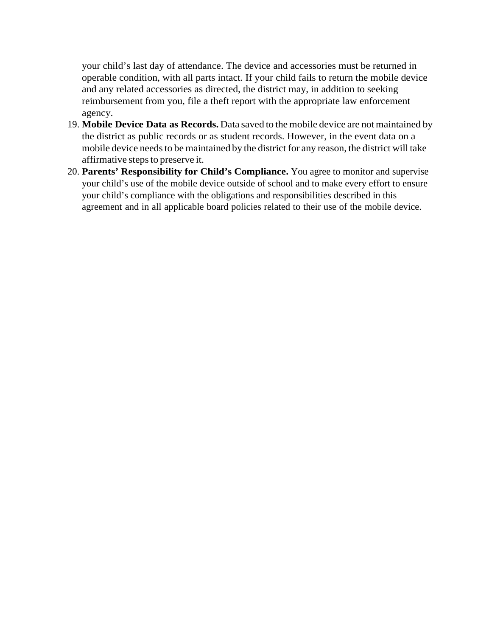your child's last day of attendance. The device and accessories must be returned in operable condition, with all parts intact. If your child fails to return the mobile device and any related accessories as directed, the district may, in addition to seeking reimbursement from you, file a theft report with the appropriate law enforcement agency.

- 19. **Mobile Device Data as Records.** Data saved to the mobile device are notmaintained by the district as public records or as student records. However, in the event data on a mobile device needs to be maintained by the district for any reason, the district will take affirmative steps to preserve it.
- 20. **Parents' Responsibility for Child's Compliance.** You agree to monitor and supervise your child's use of the mobile device outside of school and to make every effort to ensure your child's compliance with the obligations and responsibilities described in this agreement and in all applicable board policies related to their use of the mobile device.